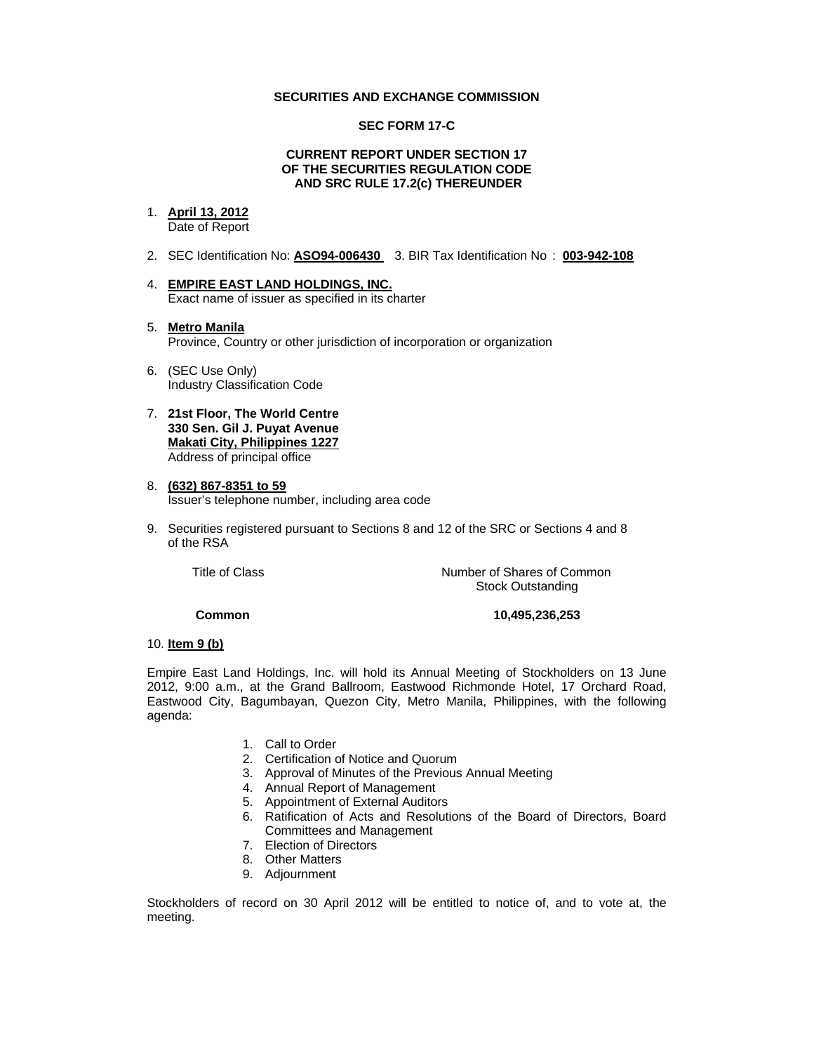## **SECURITIES AND EXCHANGE COMMISSION**

## **SEC FORM 17-C**

### **CURRENT REPORT UNDER SECTION 17 OF THE SECURITIES REGULATION CODE AND SRC RULE 17.2(c) THEREUNDER**

# 1. **April 13, 2012**

Date of Report

- 2. SEC Identification No: **ASO94-006430** 3. BIR Tax Identification No : **003-942-108**
- 4. **EMPIRE EAST LAND HOLDINGS, INC.** Exact name of issuer as specified in its charter
- 5. **Metro Manila** Province, Country or other jurisdiction of incorporation or organization
- 6. (SEC Use Only) Industry Classification Code
- 7. **21st Floor, The World Centre 330 Sen. Gil J. Puyat Avenue Makati City, Philippines 1227** Address of principal office
- 8. **(632) 867-8351 to 59** Issuer's telephone number, including area code
- 9. Securities registered pursuant to Sections 8 and 12 of the SRC or Sections 4 and 8 of the RSA

Title of Class **Number of Shares of Common** Stock Outstanding

### **Common 10,495,236,253**

### 10. **Item 9 (b)**

Empire East Land Holdings, Inc. will hold its Annual Meeting of Stockholders on 13 June 2012, 9:00 a.m., at the Grand Ballroom, Eastwood Richmonde Hotel, 17 Orchard Road, Eastwood City, Bagumbayan, Quezon City, Metro Manila, Philippines, with the following agenda:

- 1. Call to Order
- 2. Certification of Notice and Quorum
- 3. Approval of Minutes of the Previous Annual Meeting
- 4. Annual Report of Management
- 5. Appointment of External Auditors
- 6. Ratification of Acts and Resolutions of the Board of Directors, Board Committees and Management
- 7. Election of Directors
- 8. Other Matters
- 9. Adjournment

Stockholders of record on 30 April 2012 will be entitled to notice of, and to vote at, the meeting.